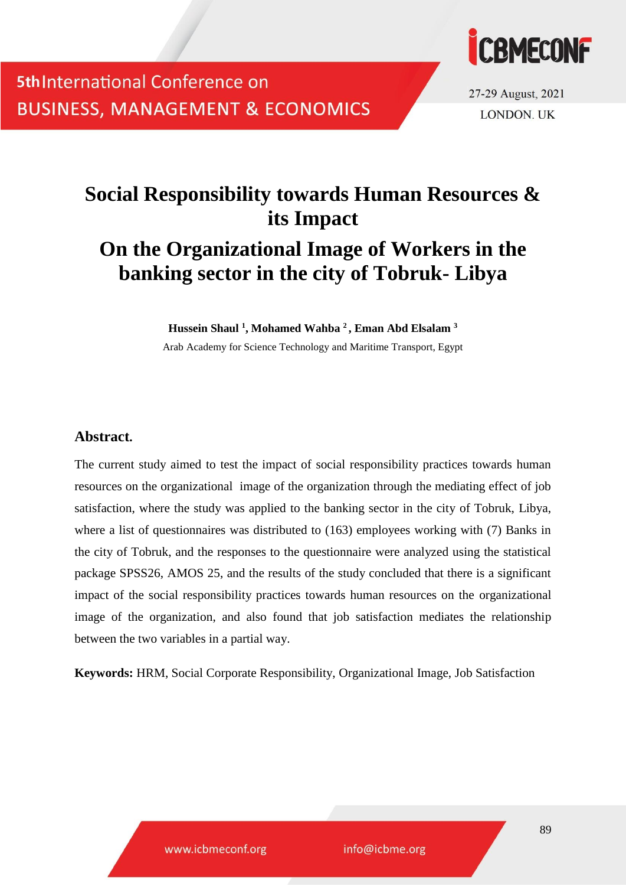

27-29 August, 2021 **LONDON, UK** 

# **Social Responsibility towards Human Resources & its Impact On the Organizational Image of Workers in the banking sector in the city of Tobruk- Libya**

**Hussein Shaul <sup>1</sup> , Mohamed Wahba <sup>2</sup> , Eman Abd Elsalam <sup>3</sup>**

Arab Academy for Science Technology and Maritime Transport, Egypt

#### **Abstract.**

The current study aimed to test the impact of social responsibility practices towards human resources on the organizational image of the organization through the mediating effect of job satisfaction, where the study was applied to the banking sector in the city of Tobruk, Libya, where a list of questionnaires was distributed to (163) employees working with (7) Banks in the city of Tobruk, and the responses to the questionnaire were analyzed using the statistical package SPSS26, AMOS 25, and the results of the study concluded that there is a significant impact of the social responsibility practices towards human resources on the organizational image of the organization, and also found that job satisfaction mediates the relationship between the two variables in a partial way.

**Keywords:** HRM, Social Corporate Responsibility, Organizational Image, Job Satisfaction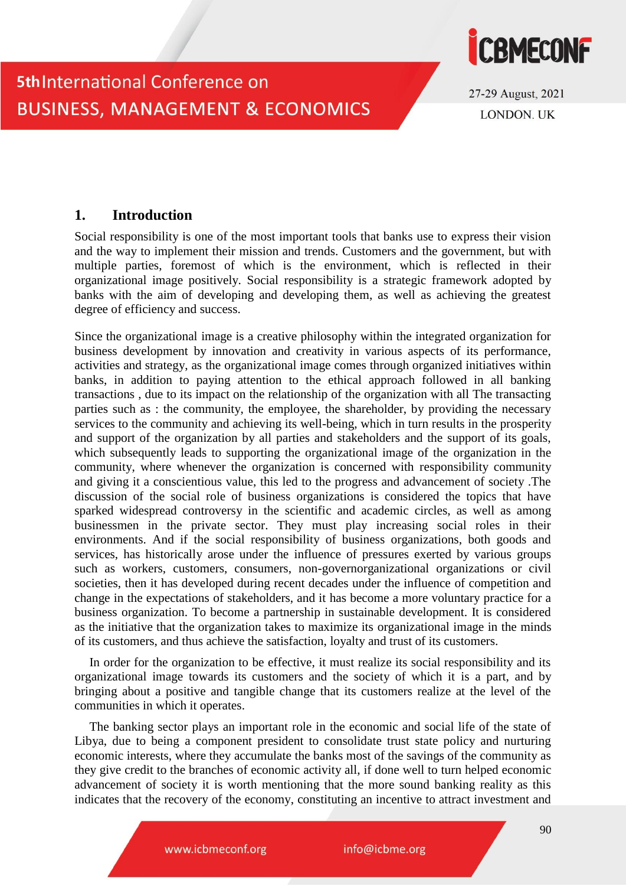

27-29 August, 2021 **LONDON, UK** 

#### **1. Introduction**

Social responsibility is one of the most important tools that banks use to express their vision and the way to implement their mission and trends. Customers and the government, but with multiple parties, foremost of which is the environment, which is reflected in their organizational image positively. Social responsibility is a strategic framework adopted by banks with the aim of developing and developing them, as well as achieving the greatest degree of efficiency and success.

Since the organizational image is a creative philosophy within the integrated organization for business development by innovation and creativity in various aspects of its performance, activities and strategy, as the organizational image comes through organized initiatives within banks, in addition to paying attention to the ethical approach followed in all banking transactions , due to its impact on the relationship of the organization with all The transacting parties such as : the community, the employee, the shareholder, by providing the necessary services to the community and achieving its well-being, which in turn results in the prosperity and support of the organization by all parties and stakeholders and the support of its goals, which subsequently leads to supporting the organizational image of the organization in the community, where whenever the organization is concerned with responsibility community and giving it a conscientious value, this led to the progress and advancement of society .The discussion of the social role of business organizations is considered the topics that have sparked widespread controversy in the scientific and academic circles, as well as among businessmen in the private sector. They must play increasing social roles in their environments. And if the social responsibility of business organizations, both goods and services, has historically arose under the influence of pressures exerted by various groups such as workers, customers, consumers, non-governorganizational organizations or civil societies, then it has developed during recent decades under the influence of competition and change in the expectations of stakeholders, and it has become a more voluntary practice for a business organization. To become a partnership in sustainable development. It is considered as the initiative that the organization takes to maximize its organizational image in the minds of its customers, and thus achieve the satisfaction, loyalty and trust of its customers.

In order for the organization to be effective, it must realize its social responsibility and its organizational image towards its customers and the society of which it is a part, and by bringing about a positive and tangible change that its customers realize at the level of the communities in which it operates.

The banking sector plays an important role in the economic and social life of the state of Libya, due to being a component president to consolidate trust state policy and nurturing economic interests, where they accumulate the banks most of the savings of the community as they give credit to the branches of economic activity all, if done well to turn helped economic advancement of society it is worth mentioning that the more sound banking reality as this indicates that the recovery of the economy, constituting an incentive to attract investment and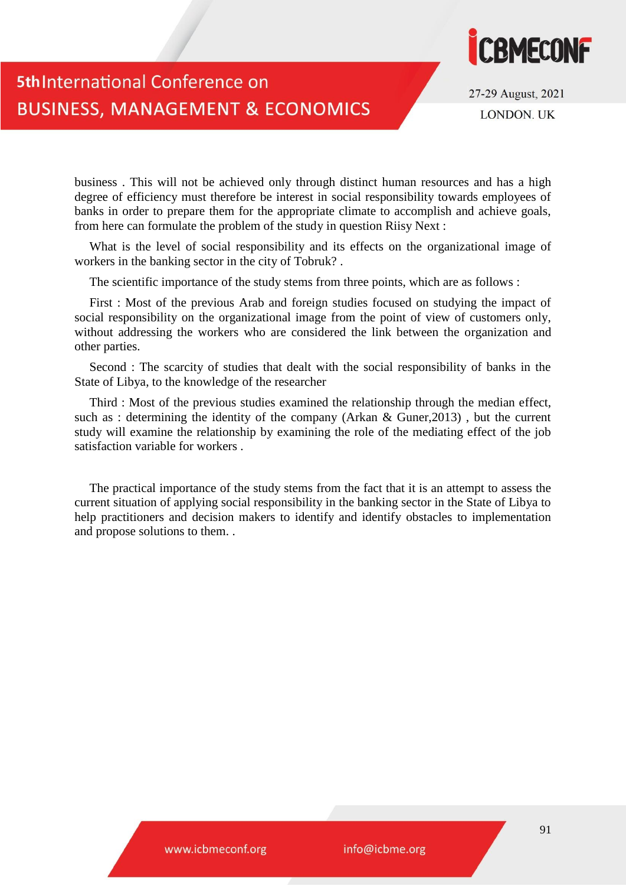

27-29 August, 2021 **LONDON, UK** 

business . This will not be achieved only through distinct human resources and has a high degree of efficiency must therefore be interest in social responsibility towards employees of banks in order to prepare them for the appropriate climate to accomplish and achieve goals, from here can formulate the problem of the study in question Riisy Next :

What is the level of social responsibility and its effects on the organizational image of workers in the banking sector in the city of Tobruk? .

The scientific importance of the study stems from three points, which are as follows :

First : Most of the previous Arab and foreign studies focused on studying the impact of social responsibility on the organizational image from the point of view of customers only, without addressing the workers who are considered the link between the organization and other parties.

Second : The scarcity of studies that dealt with the social responsibility of banks in the State of Libya, to the knowledge of the researcher

Third : Most of the previous studies examined the relationship through the median effect, such as : determining the identity of the company (Arkan & Guner,2013) , but the current study will examine the relationship by examining the role of the mediating effect of the job satisfaction variable for workers .

The practical importance of the study stems from the fact that it is an attempt to assess the current situation of applying social responsibility in the banking sector in the State of Libya to help practitioners and decision makers to identify and identify obstacles to implementation and propose solutions to them. .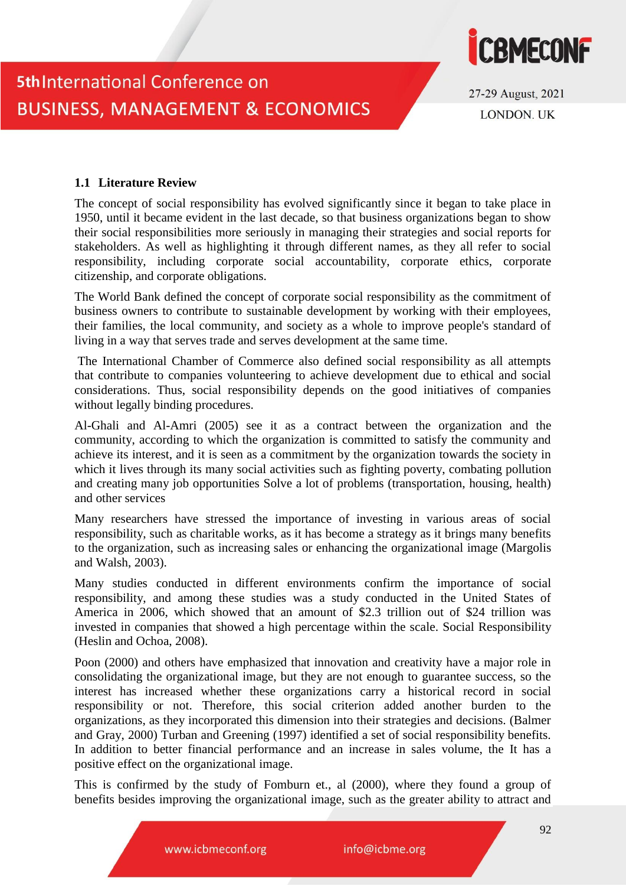



#### **1.1 Literature Review**

The concept of social responsibility has evolved significantly since it began to take place in 1950, until it became evident in the last decade, so that business organizations began to show their social responsibilities more seriously in managing their strategies and social reports for stakeholders. As well as highlighting it through different names, as they all refer to social responsibility, including corporate social accountability, corporate ethics, corporate citizenship, and corporate obligations.

The World Bank defined the concept of corporate social responsibility as the commitment of business owners to contribute to sustainable development by working with their employees, their families, the local community, and society as a whole to improve people's standard of living in a way that serves trade and serves development at the same time.

The International Chamber of Commerce also defined social responsibility as all attempts that contribute to companies volunteering to achieve development due to ethical and social considerations. Thus, social responsibility depends on the good initiatives of companies without legally binding procedures.

Al-Ghali and Al-Amri (2005) see it as a contract between the organization and the community, according to which the organization is committed to satisfy the community and achieve its interest, and it is seen as a commitment by the organization towards the society in which it lives through its many social activities such as fighting poverty, combating pollution and creating many job opportunities Solve a lot of problems (transportation, housing, health) and other services

Many researchers have stressed the importance of investing in various areas of social responsibility, such as charitable works, as it has become a strategy as it brings many benefits to the organization, such as increasing sales or enhancing the organizational image (Margolis and Walsh, 2003).

Many studies conducted in different environments confirm the importance of social responsibility, and among these studies was a study conducted in the United States of America in 2006, which showed that an amount of \$2.3 trillion out of \$24 trillion was invested in companies that showed a high percentage within the scale. Social Responsibility (Heslin and Ochoa, 2008).

Poon (2000) and others have emphasized that innovation and creativity have a major role in consolidating the organizational image, but they are not enough to guarantee success, so the interest has increased whether these organizations carry a historical record in social responsibility or not. Therefore, this social criterion added another burden to the organizations, as they incorporated this dimension into their strategies and decisions. (Balmer and Gray, 2000) Turban and Greening (1997) identified a set of social responsibility benefits. In addition to better financial performance and an increase in sales volume, the It has a positive effect on the organizational image.

This is confirmed by the study of Fomburn et., al (2000), where they found a group of benefits besides improving the organizational image, such as the greater ability to attract and

www.icbmeconf.org

info@icbme.org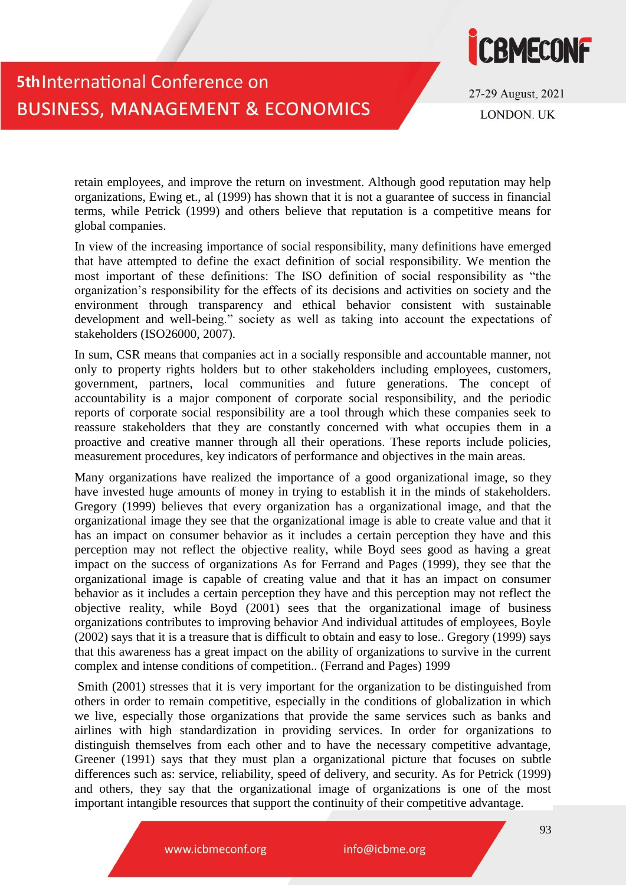

27-29 August, 2021 LONDON, UK

retain employees, and improve the return on investment. Although good reputation may help organizations, Ewing et., al (1999) has shown that it is not a guarantee of success in financial terms, while Petrick (1999) and others believe that reputation is a competitive means for global companies.

In view of the increasing importance of social responsibility, many definitions have emerged that have attempted to define the exact definition of social responsibility. We mention the most important of these definitions: The ISO definition of social responsibility as "the organization's responsibility for the effects of its decisions and activities on society and the environment through transparency and ethical behavior consistent with sustainable development and well-being." society as well as taking into account the expectations of stakeholders (ISO26000, 2007).

In sum, CSR means that companies act in a socially responsible and accountable manner, not only to property rights holders but to other stakeholders including employees, customers, government, partners, local communities and future generations. The concept of accountability is a major component of corporate social responsibility, and the periodic reports of corporate social responsibility are a tool through which these companies seek to reassure stakeholders that they are constantly concerned with what occupies them in a proactive and creative manner through all their operations. These reports include policies, measurement procedures, key indicators of performance and objectives in the main areas.

Many organizations have realized the importance of a good organizational image, so they have invested huge amounts of money in trying to establish it in the minds of stakeholders. Gregory (1999) believes that every organization has a organizational image, and that the organizational image they see that the organizational image is able to create value and that it has an impact on consumer behavior as it includes a certain perception they have and this perception may not reflect the objective reality, while Boyd sees good as having a great impact on the success of organizations As for Ferrand and Pages (1999), they see that the organizational image is capable of creating value and that it has an impact on consumer behavior as it includes a certain perception they have and this perception may not reflect the objective reality, while Boyd (2001) sees that the organizational image of business organizations contributes to improving behavior And individual attitudes of employees, Boyle (2002) says that it is a treasure that is difficult to obtain and easy to lose.. Gregory (1999) says that this awareness has a great impact on the ability of organizations to survive in the current complex and intense conditions of competition.. (Ferrand and Pages) 1999

Smith (2001) stresses that it is very important for the organization to be distinguished from others in order to remain competitive, especially in the conditions of globalization in which we live, especially those organizations that provide the same services such as banks and airlines with high standardization in providing services. In order for organizations to distinguish themselves from each other and to have the necessary competitive advantage, Greener (1991) says that they must plan a organizational picture that focuses on subtle differences such as: service, reliability, speed of delivery, and security. As for Petrick (1999) and others, they say that the organizational image of organizations is one of the most important intangible resources that support the continuity of their competitive advantage.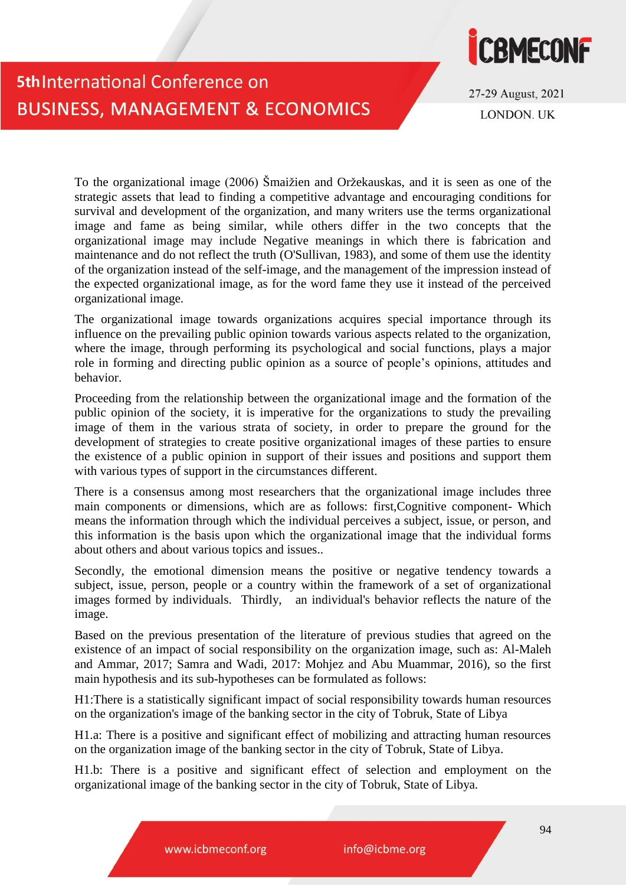

27-29 August, 2021 **LONDON, UK** 

To the organizational image (2006) Šmaižien and Oržekauskas, and it is seen as one of the strategic assets that lead to finding a competitive advantage and encouraging conditions for survival and development of the organization, and many writers use the terms organizational image and fame as being similar, while others differ in the two concepts that the organizational image may include Negative meanings in which there is fabrication and maintenance and do not reflect the truth (O'Sullivan, 1983), and some of them use the identity of the organization instead of the self-image, and the management of the impression instead of the expected organizational image, as for the word fame they use it instead of the perceived organizational image.

The organizational image towards organizations acquires special importance through its influence on the prevailing public opinion towards various aspects related to the organization, where the image, through performing its psychological and social functions, plays a major role in forming and directing public opinion as a source of people's opinions, attitudes and behavior.

Proceeding from the relationship between the organizational image and the formation of the public opinion of the society, it is imperative for the organizations to study the prevailing image of them in the various strata of society, in order to prepare the ground for the development of strategies to create positive organizational images of these parties to ensure the existence of a public opinion in support of their issues and positions and support them with various types of support in the circumstances different.

There is a consensus among most researchers that the organizational image includes three main components or dimensions, which are as follows: first,Cognitive component- Which means the information through which the individual perceives a subject, issue, or person, and this information is the basis upon which the organizational image that the individual forms about others and about various topics and issues..

Secondly, the emotional dimension means the positive or negative tendency towards a subject, issue, person, people or a country within the framework of a set of organizational images formed by individuals. Thirdly, an individual's behavior reflects the nature of the image.

Based on the previous presentation of the literature of previous studies that agreed on the existence of an impact of social responsibility on the organization image, such as: Al-Maleh and Ammar, 2017; Samra and Wadi, 2017: Mohjez and Abu Muammar, 2016), so the first main hypothesis and its sub-hypotheses can be formulated as follows:

H1:There is a statistically significant impact of social responsibility towards human resources on the organization's image of the banking sector in the city of Tobruk, State of Libya

H1.a: There is a positive and significant effect of mobilizing and attracting human resources on the organization image of the banking sector in the city of Tobruk, State of Libya.

H1.b: There is a positive and significant effect of selection and employment on the organizational image of the banking sector in the city of Tobruk, State of Libya.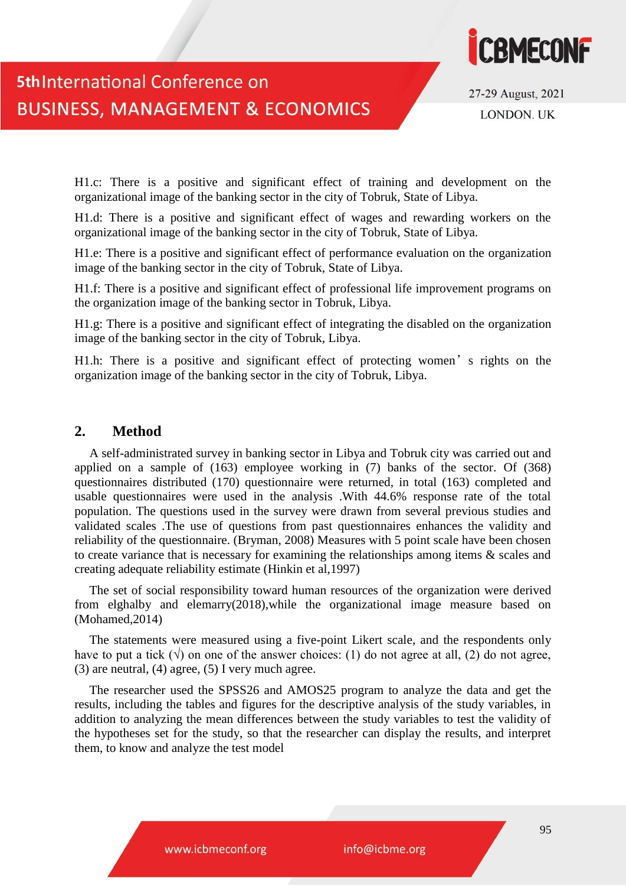

27-29 August, 2021 **LONDON, UK** 

H1.c: There is a positive and significant effect of training and development on the organizational image of the banking sector in the city of Tobruk, State of Libya.

H1.d: There is a positive and significant effect of wages and rewarding workers on the organizational image of the banking sector in the city of Tobruk, State of Libya.

H1.e: There is a positive and significant effect of performance evaluation on the organization image of the banking sector in the city of Tobruk, State of Libya.

H1.f: There is a positive and significant effect of professional life improvement programs on the organization image of the banking sector in Tobruk, Libya.

H1.g: There is a positive and significant effect of integrating the disabled on the organization image of the banking sector in the city of Tobruk, Libya.

H1.h: There is a positive and significant effect of protecting women's rights on the organization image of the banking sector in the city of Tobruk, Libya.

#### **2. Method**

A self-administrated survey in banking sector in Libya and Tobruk city was carried out and applied on a sample of (163) employee working in (7) banks of the sector. Of (368) questionnaires distributed (170) questionnaire were returned, in total (163) completed and usable questionnaires were used in the analysis .With 44.6% response rate of the total population. The questions used in the survey were drawn from several previous studies and validated scales .The use of questions from past questionnaires enhances the validity and reliability of the questionnaire. (Bryman, 2008) Measures with 5 point scale have been chosen to create variance that is necessary for examining the relationships among items & scales and creating adequate reliability estimate (Hinkin et al,1997)

The set of social responsibility toward human resources of the organization were derived from elghalby and elemarry(2018),while the organizational image measure based on (Mohamed,2014)

The statements were measured using a five-point Likert scale, and the respondents only have to put a tick  $(\sqrt{)}$  on one of the answer choices: (1) do not agree at all, (2) do not agree, (3) are neutral, (4) agree, (5) I very much agree.

The researcher used the SPSS26 and AMOS25 program to analyze the data and get the results, including the tables and figures for the descriptive analysis of the study variables, in addition to analyzing the mean differences between the study variables to test the validity of the hypotheses set for the study, so that the researcher can display the results, and interpret them, to know and analyze the test model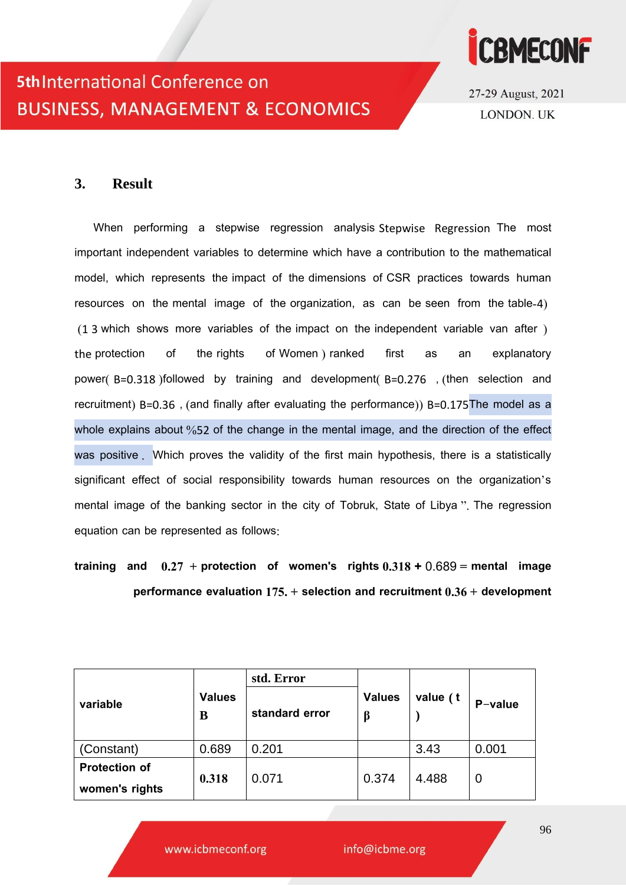



#### **3. Result**

When performing a stepwise regression analysis Stepwise Regression The most important independent variables to determine which have a contribution to the mathematical model, which represents the impact of the dimensions of CSR practices towards human resources on the mental image of the organization, as can be seen from the table-4)  $(1 3$  which shows more variables of the impact on the independent variable van after  $(1 3 3)$ the protection of the rights of Women anked first as an explanatory power( $B=0.318$ ) followed by training and development( $B=0.276$ , (then selection and recruitment)  $B=0.36$  , (and finally after evaluating the performance))  $B=0.175$ The model as a whole explains about %52 of the change in the mental image, and the direction of the effect was positive . Which proves the validity of the first main hypothesis, there is a statistically significant effect of social responsibility towards human resources on the organization's mental image of the banking sector in the city of Tobruk, State of Libya ". The regression equation can be represented as follows:

**training and**  $0.27$  **+ protection of women's rights**  $0.318 + 0.689$  **= mental image performance evaluation**  $175$ . + selection and recruitment  $0.36$  + development

| variable                               | <b>Values</b><br>B | std. Error<br>standard error | <b>Values</b><br>β | value (t | P-value |
|----------------------------------------|--------------------|------------------------------|--------------------|----------|---------|
| (Constant)                             | 0.689              | 0.201                        |                    | 3.43     | 0.001   |
| <b>Protection of</b><br>women's rights | 0.318              | 0.071                        | 0.374              | 4.488    | 0       |

96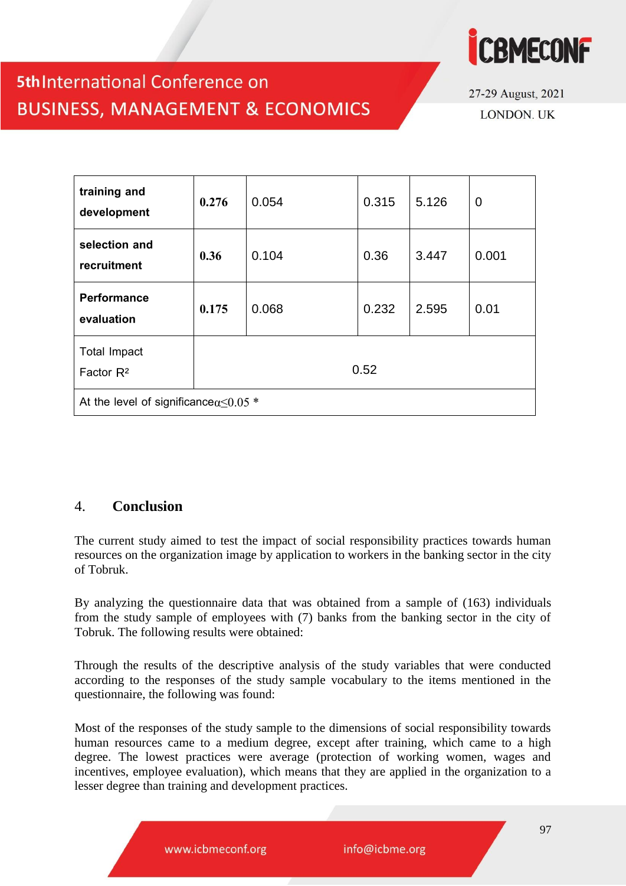

27-29 August, 2021 **LONDON, UK** 

| training and<br>development                      | 0.276 | 0.054 | 0.315 | 5.126 | $\mathbf 0$ |  |  |
|--------------------------------------------------|-------|-------|-------|-------|-------------|--|--|
| selection and<br>recruitment                     | 0.36  | 0.104 | 0.36  | 3.447 | 0.001       |  |  |
| Performance<br>evaluation                        | 0.175 | 0.068 | 0.232 | 2.595 | 0.01        |  |  |
| <b>Total Impact</b><br>Factor R <sup>2</sup>     | 0.52  |       |       |       |             |  |  |
| At the level of significance $\alpha$ < 0.05 $*$ |       |       |       |       |             |  |  |

#### 4. **Conclusion**

The current study aimed to test the impact of social responsibility practices towards human resources on the organization image by application to workers in the banking sector in the city of Tobruk.

By analyzing the questionnaire data that was obtained from a sample of (163) individuals from the study sample of employees with (7) banks from the banking sector in the city of Tobruk. The following results were obtained:

Through the results of the descriptive analysis of the study variables that were conducted according to the responses of the study sample vocabulary to the items mentioned in the questionnaire, the following was found:

Most of the responses of the study sample to the dimensions of social responsibility towards human resources came to a medium degree, except after training, which came to a high degree. The lowest practices were average (protection of working women, wages and incentives, employee evaluation), which means that they are applied in the organization to a lesser degree than training and development practices.

www.icbmeconf.org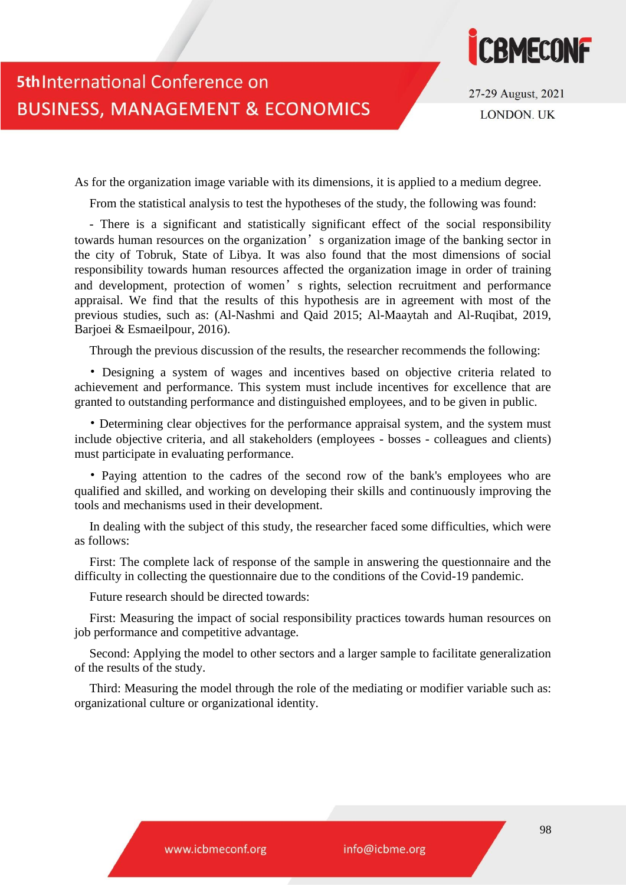

As for the organization image variable with its dimensions, it is applied to a medium degree.

From the statistical analysis to test the hypotheses of the study, the following was found:

- There is a significant and statistically significant effect of the social responsibility towards human resources on the organization's organization image of the banking sector in the city of Tobruk, State of Libya. It was also found that the most dimensions of social responsibility towards human resources affected the organization image in order of training and development, protection of women's rights, selection recruitment and performance appraisal. We find that the results of this hypothesis are in agreement with most of the previous studies, such as: (Al-Nashmi and Qaid 2015; Al-Maaytah and Al-Ruqibat, 2019, Barjoei & Esmaeilpour, 2016).

Through the previous discussion of the results, the researcher recommends the following:

• Designing a system of wages and incentives based on objective criteria related to achievement and performance. This system must include incentives for excellence that are granted to outstanding performance and distinguished employees, and to be given in public.

• Determining clear objectives for the performance appraisal system, and the system must include objective criteria, and all stakeholders (employees - bosses - colleagues and clients) must participate in evaluating performance.

• Paying attention to the cadres of the second row of the bank's employees who are qualified and skilled, and working on developing their skills and continuously improving the tools and mechanisms used in their development.

In dealing with the subject of this study, the researcher faced some difficulties, which were as follows:

First: The complete lack of response of the sample in answering the questionnaire and the difficulty in collecting the questionnaire due to the conditions of the Covid-19 pandemic.

Future research should be directed towards:

First: Measuring the impact of social responsibility practices towards human resources on job performance and competitive advantage.

Second: Applying the model to other sectors and a larger sample to facilitate generalization of the results of the study.

Third: Measuring the model through the role of the mediating or modifier variable such as: organizational culture or organizational identity.

98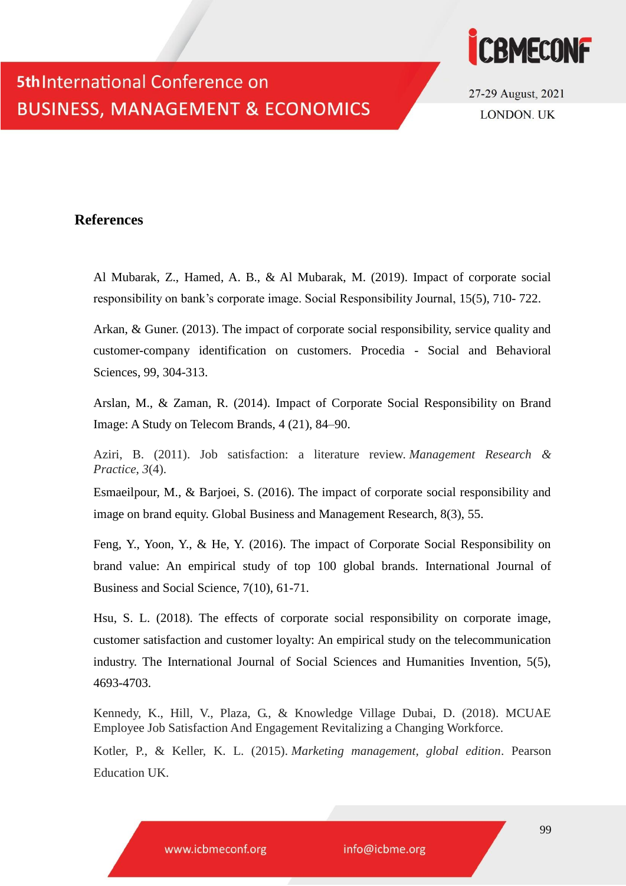

#### **References**

Al Mubarak, Z., Hamed, A. B., & Al Mubarak, M. (2019). Impact of corporate social responsibility on bank's corporate image. Social Responsibility Journal, 15(5), 710- 722.

Arkan, & Guner. (2013). The impact of corporate social responsibility, service quality and customer-company identification on customers. Procedia - Social and Behavioral Sciences, 99, 304-313.

Arslan, M., & Zaman, R. (2014). Impact of Corporate Social Responsibility on Brand Image: A Study on Telecom Brands, 4 (21), 84–90.

Aziri, B. (2011). Job satisfaction: a literature review. *Management Research & Practice*, *3*(4).

Esmaeilpour, M., & Barjoei, S. (2016). The impact of corporate social responsibility and image on brand equity. Global Business and Management Research, 8(3), 55.

Feng, Y., Yoon, Y., & He, Y. (2016). The impact of Corporate Social Responsibility on brand value: An empirical study of top 100 global brands. International Journal of Business and Social Science, 7(10), 61-71.

Hsu, S. L. (2018). The effects of corporate social responsibility on corporate image, customer satisfaction and customer loyalty: An empirical study on the telecommunication industry. The International Journal of Social Sciences and Humanities Invention, 5(5), 4693-4703.

Kennedy, K., Hill, V., Plaza, G., & Knowledge Village Dubai, D. (2018). MCUAE Employee Job Satisfaction And Engagement Revitalizing a Changing Workforce.

Kotler, P., & Keller, K. L. (2015). *Marketing management, global edition*. Pearson Education UK.

www.icbmeconf.org

info@icbme.org